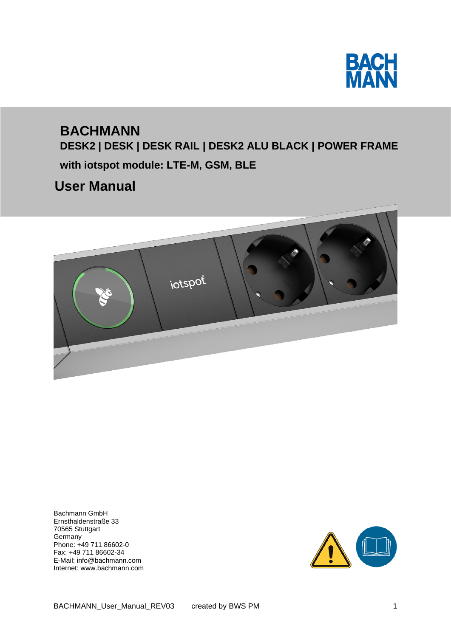

# **BACHMANN**

**DESK2 | DESK | DESK RAIL | DESK2 ALU BLACK | POWER FRAME with iotspot module: LTE-M, GSM, BLE** 

## **User Manual**



Bachmann GmbH Ernsthaldenstraße 33 70565 Stuttgart Germany Phone: +49 711 86602-0 Fax: +49 711 86602-34 E-Mail: info@bachmann.com Internet: www.bachmann.com

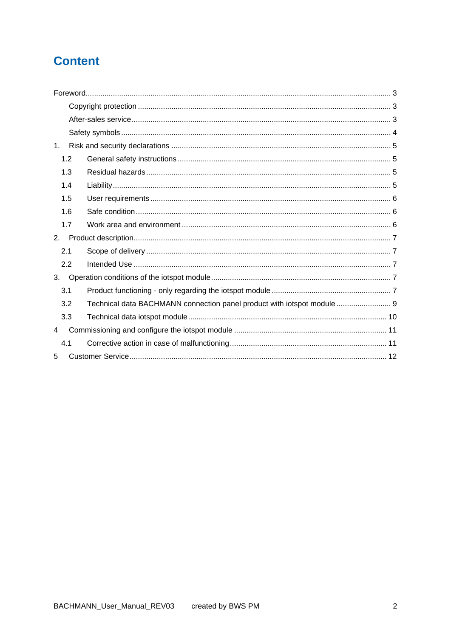### **Content**

| 1. |     |                                                                         |  |  |
|----|-----|-------------------------------------------------------------------------|--|--|
|    | 1.2 |                                                                         |  |  |
|    | 1.3 |                                                                         |  |  |
|    | 1.4 |                                                                         |  |  |
|    | 1.5 |                                                                         |  |  |
|    | 1.6 |                                                                         |  |  |
|    | 1.7 |                                                                         |  |  |
| 2. |     |                                                                         |  |  |
|    | 2.1 |                                                                         |  |  |
|    | 2.2 |                                                                         |  |  |
| 3. |     |                                                                         |  |  |
|    | 3.1 |                                                                         |  |  |
|    | 3.2 | Technical data BACHMANN connection panel product with iotspot module  9 |  |  |
|    | 3.3 |                                                                         |  |  |
| 4  |     |                                                                         |  |  |
|    | 4.1 |                                                                         |  |  |
| 5  |     |                                                                         |  |  |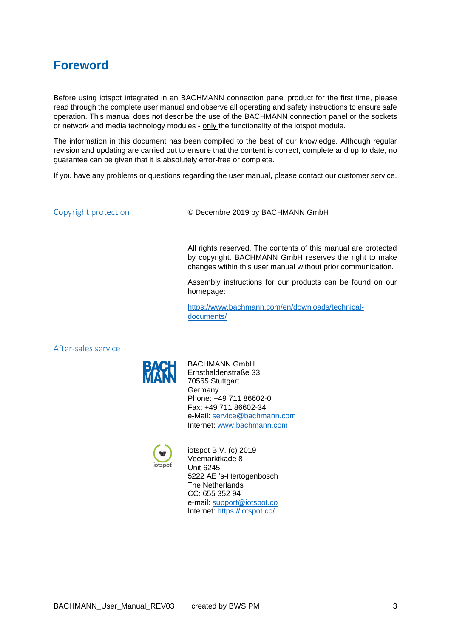### <span id="page-2-0"></span>**Foreword**

Before using iotspot integrated in an BACHMANN connection panel product for the first time, please read through the complete user manual and observe all operating and safety instructions to ensure safe operation. This manual does not describe the use of the BACHMANN connection panel or the sockets or network and media technology modules - only the functionality of the iotspot module.

The information in this document has been compiled to the best of our knowledge. Although regular revision and updating are carried out to ensure that the content is correct, complete and up to date, no guarantee can be given that it is absolutely error-free or complete.

If you have any problems or questions regarding the user manual, please contact our customer service.

<span id="page-2-1"></span>Copyright protection © Decembre 2019 by BACHMANN GmbH

All rights reserved. The contents of this manual are protected by copyright. BACHMANN GmbH reserves the right to make changes within this user manual without prior communication.

Assembly instructions for our products can be found on our homepage:

[https://www.bachmann.com/en/downloads/technical](https://www.bachmann.com/en/downloads/technical-documents/)[documents/](https://www.bachmann.com/en/downloads/technical-documents/)

<span id="page-2-2"></span>After-sales service



BACHMANN GmbH Ernsthaldenstraße 33 70565 Stuttgart Germany Phone: +49 711 86602-0 Fax: +49 711 86602-34 e-Mail: [service@bachmann.com](mailto:service@bachmann.com) Internet: [www.bachmann.com](http://www.bachmann.com/)



iotspot B.V. (c) 2019 Veemarktkade 8 Unit 6245 5222 AE 's-Hertogenbosch The Netherlands CC: 655 352 94 e-mail: [support@iotspot.co](mailto:support@iotspot.co) Internet:<https://iotspot.co/>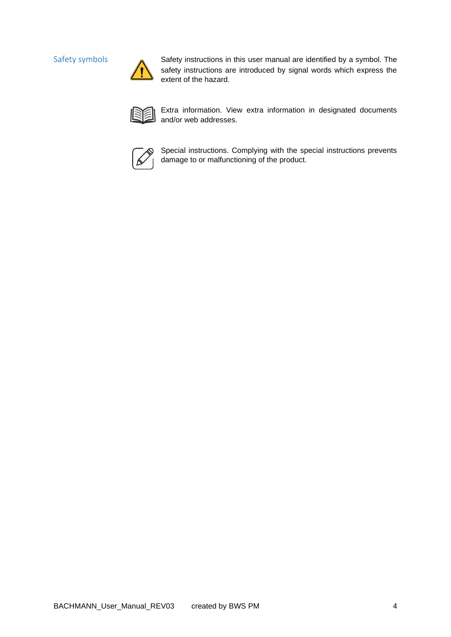

<span id="page-3-0"></span>Safety symbols Safety instructions in this user manual are identified by a symbol. The safety instructions are introduced by signal words which express the extent of the hazard.



Extra information. View extra information in designated documents and/or web addresses.



Special instructions. Complying with the special instructions prevents damage to or malfunctioning of the product.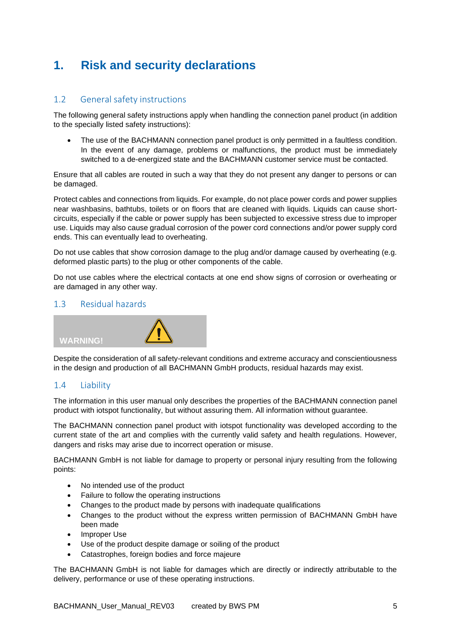## <span id="page-4-0"></span>**1. Risk and security declarations**

### <span id="page-4-1"></span>1.2 General safety instructions

The following general safety instructions apply when handling the connection panel product (in addition to the specially listed safety instructions):

• The use of the BACHMANN connection panel product is only permitted in a faultless condition. In the event of any damage, problems or malfunctions, the product must be immediately switched to a de-energized state and the BACHMANN customer service must be contacted.

Ensure that all cables are routed in such a way that they do not present any danger to persons or can be damaged.

Protect cables and connections from liquids. For example, do not place power cords and power supplies near washbasins, bathtubs, toilets or on floors that are cleaned with liquids. Liquids can cause shortcircuits, especially if the cable or power supply has been subjected to excessive stress due to improper use. Liquids may also cause gradual corrosion of the power cord connections and/or power supply cord ends. This can eventually lead to overheating.

Do not use cables that show corrosion damage to the plug and/or damage caused by overheating (e.g. deformed plastic parts) to the plug or other components of the cable.

Do not use cables where the electrical contacts at one end show signs of corrosion or overheating or are damaged in any other way.

#### <span id="page-4-2"></span>1.3 Residual hazards



Despite the consideration of all safety-relevant conditions and extreme accuracy and conscientiousness in the design and production of all BACHMANN GmbH products, residual hazards may exist.

#### <span id="page-4-3"></span>1.4 Liability

The information in this user manual only describes the properties of the BACHMANN connection panel product with iotspot functionality, but without assuring them. All information without guarantee.

The BACHMANN connection panel product with iotspot functionality was developed according to the current state of the art and complies with the currently valid safety and health regulations. However, dangers and risks may arise due to incorrect operation or misuse.

BACHMANN GmbH is not liable for damage to property or personal injury resulting from the following points:

- No intended use of the product
- Failure to follow the operating instructions
- Changes to the product made by persons with inadequate qualifications
- Changes to the product without the express written permission of BACHMANN GmbH have been made
- Improper Use
- Use of the product despite damage or soiling of the product
- Catastrophes, foreign bodies and force majeure

The BACHMANN GmbH is not liable for damages which are directly or indirectly attributable to the delivery, performance or use of these operating instructions.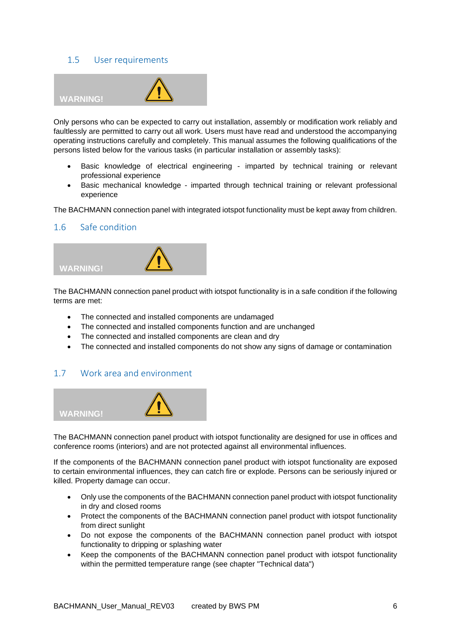#### <span id="page-5-0"></span>1.5 User requirements



Only persons who can be expected to carry out installation, assembly or modification work reliably and faultlessly are permitted to carry out all work. Users must have read and understood the accompanying operating instructions carefully and completely. This manual assumes the following qualifications of the persons listed below for the various tasks (in particular installation or assembly tasks):

- Basic knowledge of electrical engineering imparted by technical training or relevant professional experience
- Basic mechanical knowledge imparted through technical training or relevant professional experience

The BACHMANN connection panel with integrated iotspot functionality must be kept away from children.

#### <span id="page-5-1"></span>1.6 Safe condition



The BACHMANN connection panel product with iotspot functionality is in a safe condition if the following terms are met:

- The connected and installed components are undamaged
- The connected and installed components function and are unchanged
- The connected and installed components are clean and dry
- The connected and installed components do not show any signs of damage or contamination

#### <span id="page-5-2"></span>1.7 Work area and environment



The BACHMANN connection panel product with iotspot functionality are designed for use in offices and conference rooms (interiors) and are not protected against all environmental influences.

If the components of the BACHMANN connection panel product with iotspot functionality are exposed to certain environmental influences, they can catch fire or explode. Persons can be seriously injured or killed. Property damage can occur.

- Only use the components of the BACHMANN connection panel product with iotspot functionality in dry and closed rooms
- Protect the components of the BACHMANN connection panel product with iotspot functionality from direct sunlight
- Do not expose the components of the BACHMANN connection panel product with iotspot functionality to dripping or splashing water
- Keep the components of the BACHMANN connection panel product with iotspot functionality within the permitted temperature range (see chapter "Technical data")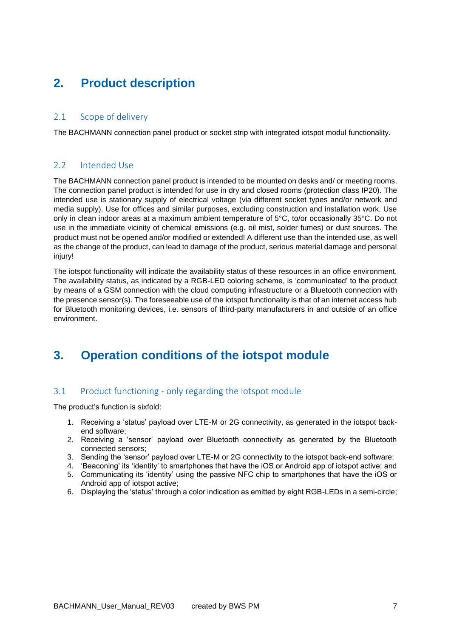### <span id="page-6-0"></span>**2. Product description**

#### <span id="page-6-1"></span>2.1 Scope of delivery

The BACHMANN connection panel product or socket strip with integrated iotspot modul functionality.

#### <span id="page-6-2"></span>2.2 Intended Use

The BACHMANN connection panel product is intended to be mounted on desks and/ or meeting rooms. The connection panel product is intended for use in dry and closed rooms (protection class IP20). The intended use is stationary supply of electrical voltage (via different socket types and/or network and media supply). Use for offices and similar purposes, excluding construction and installation work. Use only in clean indoor areas at a maximum ambient temperature of 5°C, to/or occasionally 35°C. Do not use in the immediate vicinity of chemical emissions (e.g. oil mist, solder fumes) or dust sources. The product must not be opened and/or modified or extended! A different use than the intended use, as well as the change of the product, can lead to damage of the product, serious material damage and personal injury!

The iotspot functionality will indicate the availability status of these resources in an office environment. The availability status, as indicated by a RGB-LED coloring scheme, is 'communicated' to the product by means of a GSM connection with the cloud computing infrastructure or a Bluetooth connection with the presence sensor(s). The foreseeable use of the iotspot functionality is that of an internet access hub for Bluetooth monitoring devices, i.e. sensors of third-party manufacturers in and outside of an office environment.

### <span id="page-6-3"></span>**3. Operation conditions of the iotspot module**

#### <span id="page-6-4"></span>3.1 Product functioning - only regarding the iotspot module

The product's function is sixfold:

- 1. Receiving a 'status' payload over LTE-M or 2G connectivity, as generated in the iotspot backend software;
- 2. Receiving a 'sensor' payload over Bluetooth connectivity as generated by the Bluetooth connected sensors;
- 3. Sending the 'sensor' payload over LTE-M or 2G connectivity to the iotspot back-end software;
- 4. 'Beaconing' its 'identity' to smartphones that have the iOS or Android app of iotspot active; and
- 5. Communicating its 'identity' using the passive NFC chip to smartphones that have the iOS or Android app of iotspot active;
- 6. Displaying the 'status' through a color indication as emitted by eight RGB-LEDs in a semi-circle;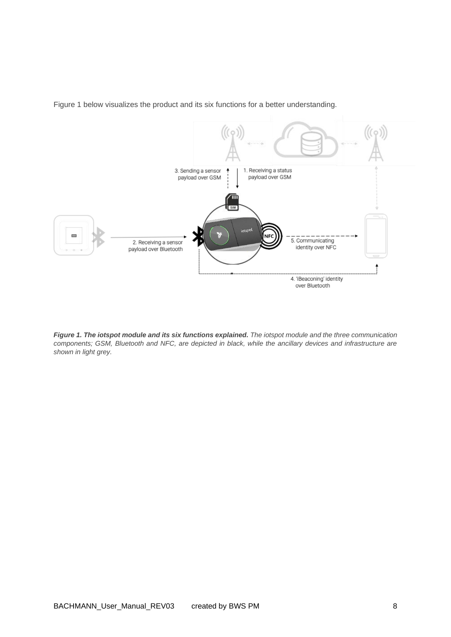

Figure 1 below visualizes the product and its six functions for a better understanding.

*Figure 1. The iotspot module and its six functions explained. The iotspot module and the three communication components; GSM, Bluetooth and NFC, are depicted in black, while the ancillary devices and infrastructure are shown in light grey.*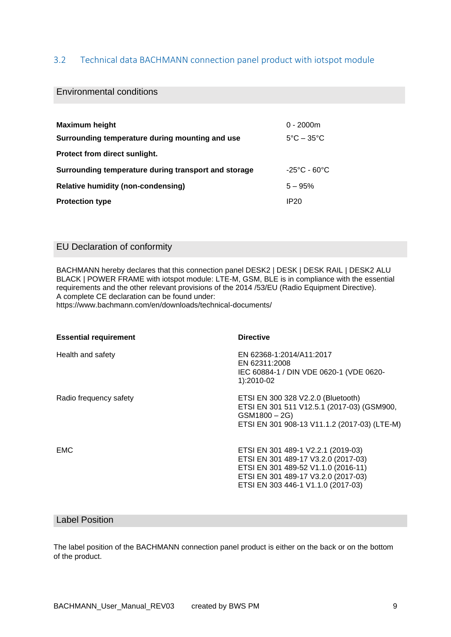#### <span id="page-8-0"></span>3.2 Technical data BACHMANN connection panel product with iotspot module

#### Environmental conditions

| <b>Maximum height</b>                                | $0 - 2000m$                       |  |  |  |
|------------------------------------------------------|-----------------------------------|--|--|--|
| Surrounding temperature during mounting and use      | $5^{\circ}$ C – 35 $^{\circ}$ C   |  |  |  |
| Protect from direct sunlight.                        |                                   |  |  |  |
| Surrounding temperature during transport and storage | $-25^{\circ}$ C - 60 $^{\circ}$ C |  |  |  |
| <b>Relative humidity (non-condensing)</b>            | $5 - 95%$                         |  |  |  |
| <b>Protection type</b>                               | IP <sub>20</sub>                  |  |  |  |

#### EU Declaration of conformity

BACHMANN hereby declares that this connection panel DESK2 | DESK | DESK RAIL | DESK2 ALU BLACK | POWER FRAME with iotspot module: LTE-M, GSM, BLE is in compliance with the essential requirements and the other relevant provisions of the 2014 /53/EU (Radio Equipment Directive). A complete CE declaration can be found under:

https://www.bachmann.com/en/downloads/technical-documents/

| <b>Essential requirement</b> | <b>Directive</b>                                                                                                                                                                              |
|------------------------------|-----------------------------------------------------------------------------------------------------------------------------------------------------------------------------------------------|
| Health and safety            | EN 62368-1:2014/A11:2017<br>EN 62311:2008<br>IEC 60884-1 / DIN VDE 0620-1 (VDE 0620-<br>1):2010-02                                                                                            |
| Radio frequency safety       | ETSI EN 300 328 V2.2.0 (Bluetooth)<br>ETSI EN 301 511 V12.5.1 (2017-03) (GSM900,<br>$GSM1800 - 2G$<br>ETSI EN 301 908-13 V11.1.2 (2017-03) (LTE-M)                                            |
| <b>EMC</b>                   | ETSI EN 301 489-1 V2.2.1 (2019-03)<br>ETSI EN 301 489-17 V3.2.0 (2017-03)<br>ETSI EN 301 489-52 V1.1.0 (2016-11)<br>ETSI EN 301 489-17 V3.2.0 (2017-03)<br>ETSI EN 303 446-1 V1.1.0 (2017-03) |

#### Label Position

The label position of the BACHMANN connection panel product is either on the back or on the bottom of the product.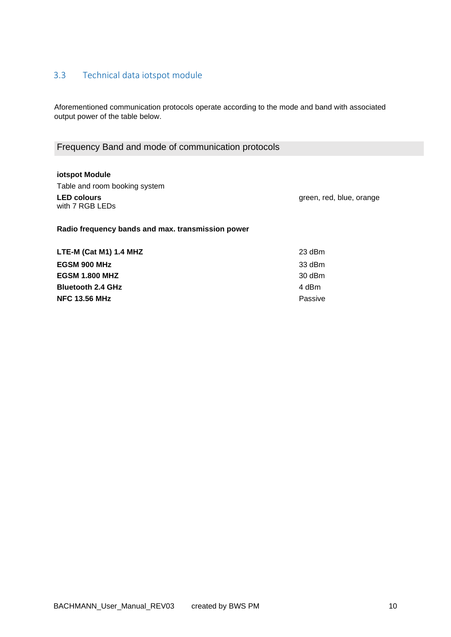#### <span id="page-9-0"></span>3.3 Technical data iotspot module

Aforementioned communication protocols operate according to the mode and band with associated output power of the table below.

#### Frequency Band and mode of communication protocols

**iotspot Module** Table and room booking system **LED colours** with 7 RGB LEDs

green, red, blue, orange

**Radio frequency bands and max. transmission power**

**LTE-M (Cat M1) 1.4 MHZ** 23 dBm **EGSM 900 MHz** 33 dBm **EGSM 1.800 MHZ** 30 dBm **Bluetooth 2.4 GHz** 4 dBm **NFC 13.56 MHz** Passive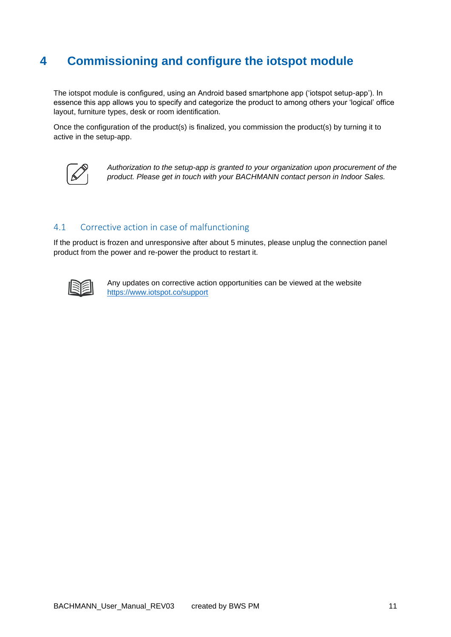### <span id="page-10-0"></span>**4 Commissioning and configure the iotspot module**

The iotspot module is configured, using an Android based smartphone app ('iotspot setup-app'). In essence this app allows you to specify and categorize the product to among others your 'logical' office layout, furniture types, desk or room identification.

Once the configuration of the product(s) is finalized, you commission the product(s) by turning it to active in the setup-app.



*Authorization to the setup-app is granted to your organization upon procurement of the product. Please get in touch with your BACHMANN contact person in Indoor Sales.*

#### <span id="page-10-1"></span>4.1 Corrective action in case of malfunctioning

If the product is frozen and unresponsive after about 5 minutes, please unplug the connection panel product from the power and re-power the product to restart it.



Any updates on corrective action opportunities can be viewed at the website <https://www.iotspot.co/support>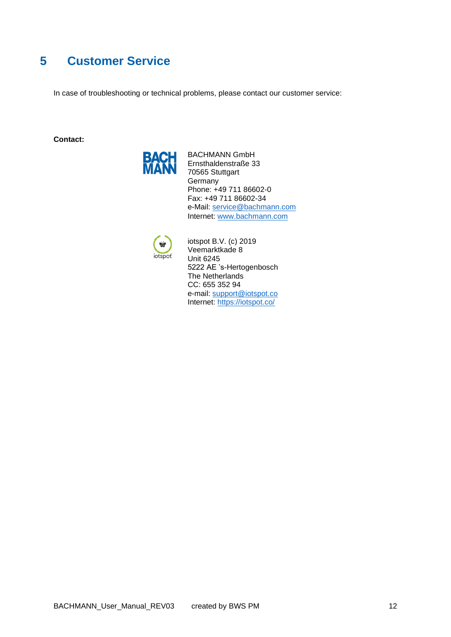### <span id="page-11-0"></span>**5 Customer Service**

In case of troubleshooting or technical problems, please contact our customer service:

**Contact:**



BACHMANN GmbH Ernsthaldenstraße 33 70565 Stuttgart **Germany** Phone: +49 711 86602-0 Fax: +49 711 86602-34 e-Mail: [service@bachmann.com](mailto:service@bachmann.com) Internet: [www.bachmann.com](http://www.bachmann.com/)



iotspot B.V. (c) 2019 Veemarktkade 8 Unit 6245 5222 AE 's-Hertogenbosch The Netherlands CC: 655 352 94 e-mail: [support@iotspot.co](mailto:support@iotspot.co) Internet:<https://iotspot.co/>